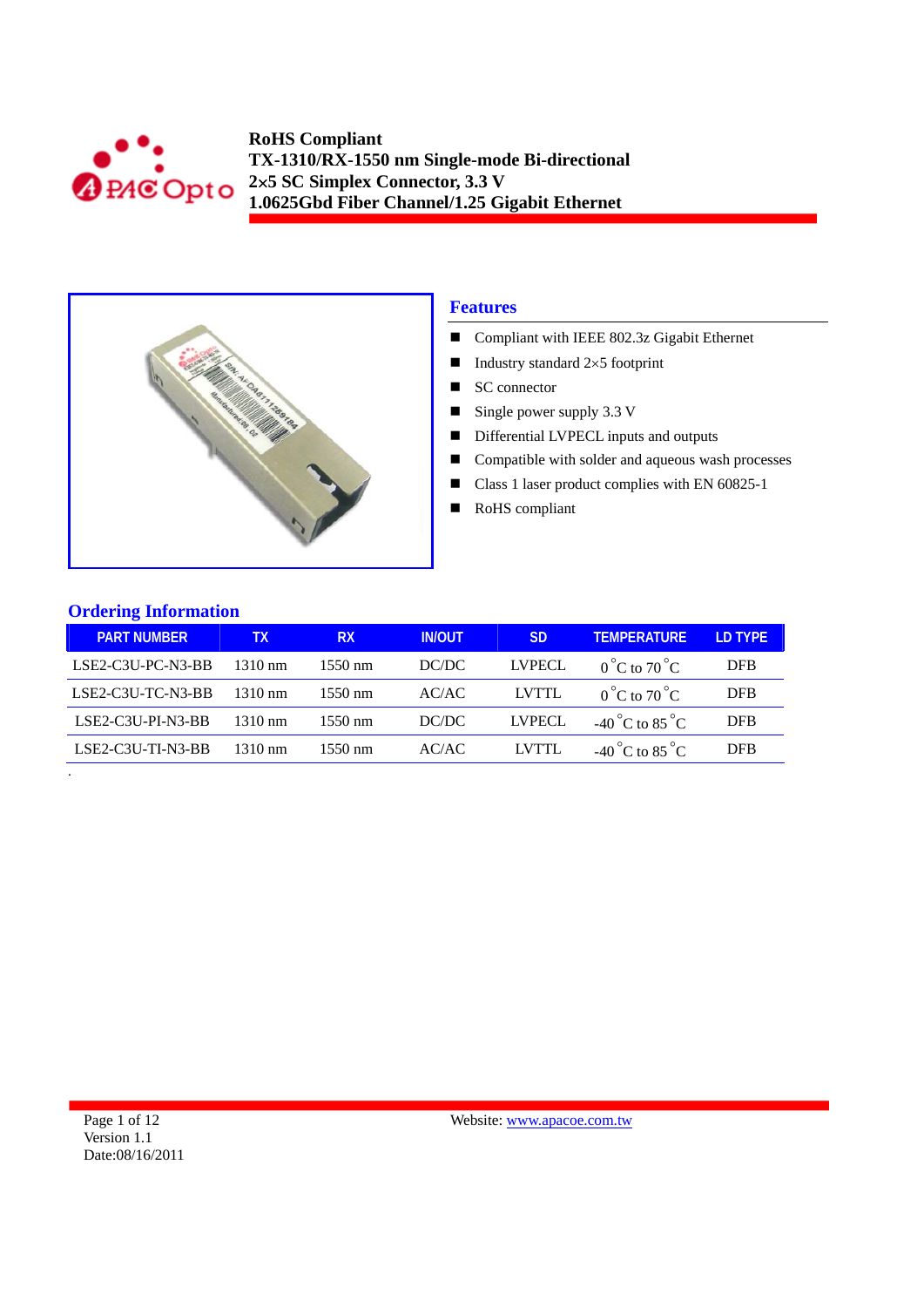



## **Features**

- Compliant with IEEE 802.3z Gigabit Ethernet
- Industry standard  $2\times 5$  footprint
- $\blacksquare$  SC connector
- $\blacksquare$  Single power supply 3.3 V
- Differential LVPECL inputs and outputs
- Compatible with solder and aqueous wash processes
- Class 1 laser product complies with EN 60825-1
- RoHS compliant

## **Ordering Information**

| <b>PART NUMBER</b>  | TХ                | <b>RX</b>         | <b>IN/OUT</b> | <b>SD</b>     | <b>TEMPERATURE</b>                | <b>ID TYPE</b> |
|---------------------|-------------------|-------------------|---------------|---------------|-----------------------------------|----------------|
| LSE2-C3U-PC-N3-BB   | $1310 \text{ nm}$ | $1550 \text{ nm}$ | DC/DC         | <b>LVPECL</b> | $0^{\circ}$ C to $70^{\circ}$ C   | DFB            |
| LSE2-C3U-TC-N3-BB   | $1310 \text{ nm}$ | $1550 \text{ nm}$ | AC/AC         | LVTTL         | $0^{\circ}$ C to $70^{\circ}$ C   | <b>DFB</b>     |
| LSE2-C3U-PI-N3-BB   | 1310 nm           | $1550 \text{ nm}$ | DC/DC         | LVPECL        | $-40^{\circ}$ C to $85^{\circ}$ C | <b>DFB</b>     |
| $LSE2-C3U-TI-N3-BB$ | 1310 nm           | $1550 \text{ nm}$ | AC/AC         | LVTTL         | $-40^{\circ}$ C to $85^{\circ}$ C | <b>DFB</b>     |
|                     |                   |                   |               |               |                                   |                |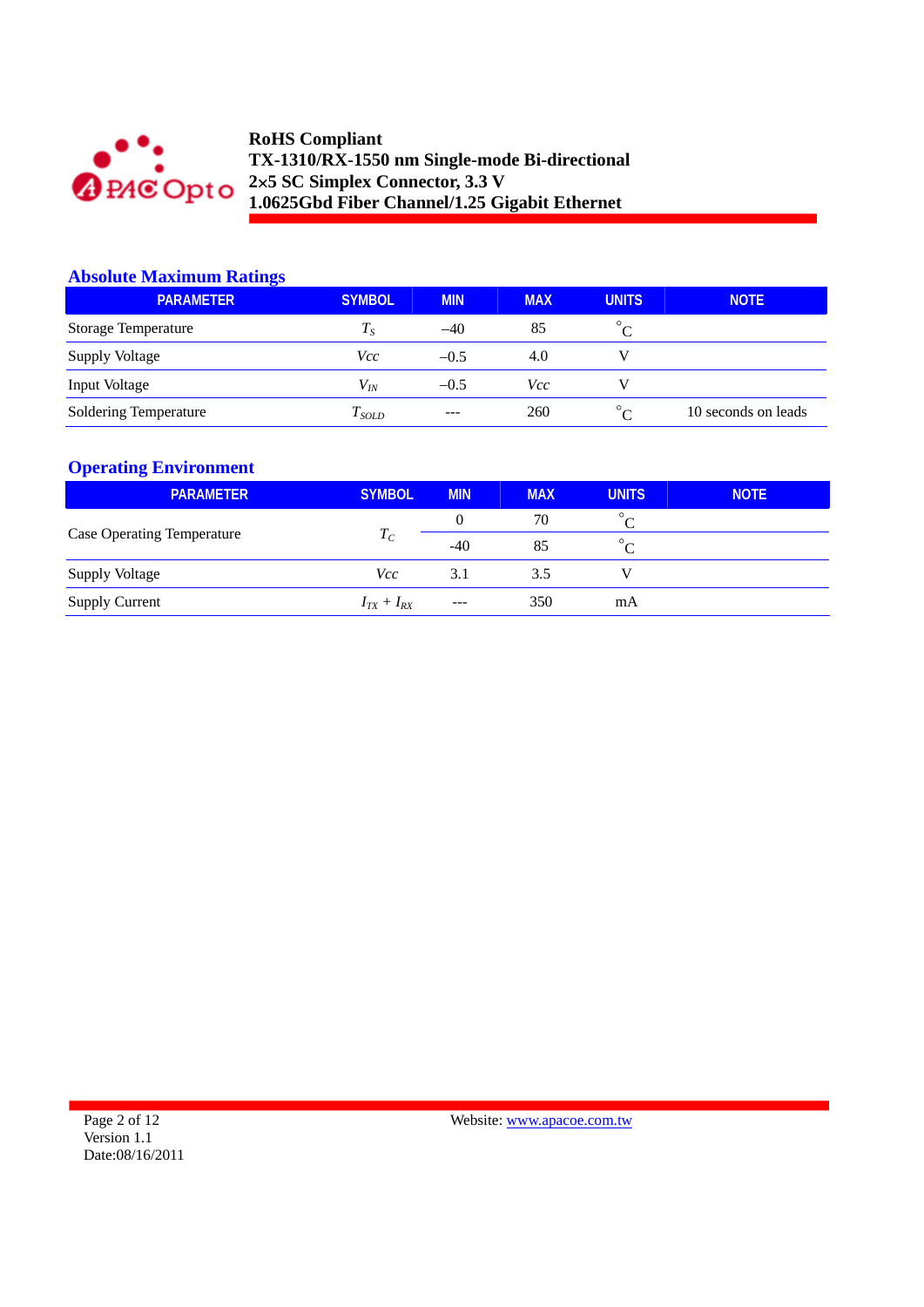

## **Absolute Maximum Ratings**

| $\sim$<br><b>PARAMETER</b>   | <b>SYMBOL</b> | <b>MIN</b> | <b>MAX</b> | <b>UNITS</b>                  | <b>NOTE</b>         |
|------------------------------|---------------|------------|------------|-------------------------------|---------------------|
| <b>Storage Temperature</b>   | $T_S$         | $-40$      | 85         | $\circ$                       |                     |
| <b>Supply Voltage</b>        | Vcc           | $-0.5$     | 4.0        |                               |                     |
| Input Voltage                | $V_{lN}$      | $-0.5$     | Vcc        |                               |                     |
| <b>Soldering Temperature</b> | I sold        | $--$       | 260        | $\circ$<br>$\curvearrowright$ | 10 seconds on leads |

## **Operating Environment**

| <b>PARAMETER</b>                  | <b>SYMBOL</b>     | <b>MIN</b> | <b>MAX</b> | <b>UNITS</b> | <b>NOTE</b> |
|-----------------------------------|-------------------|------------|------------|--------------|-------------|
|                                   | $T_C$             | 0          | 70         | $\circ$      |             |
| <b>Case Operating Temperature</b> |                   | $-40$      | 85         | $\circ$      |             |
| <b>Supply Voltage</b>             | Vcc-              | 3.1        | 3.5        |              |             |
| <b>Supply Current</b>             | $I_{TX} + I_{RX}$ | $---$      | 350        | mA           |             |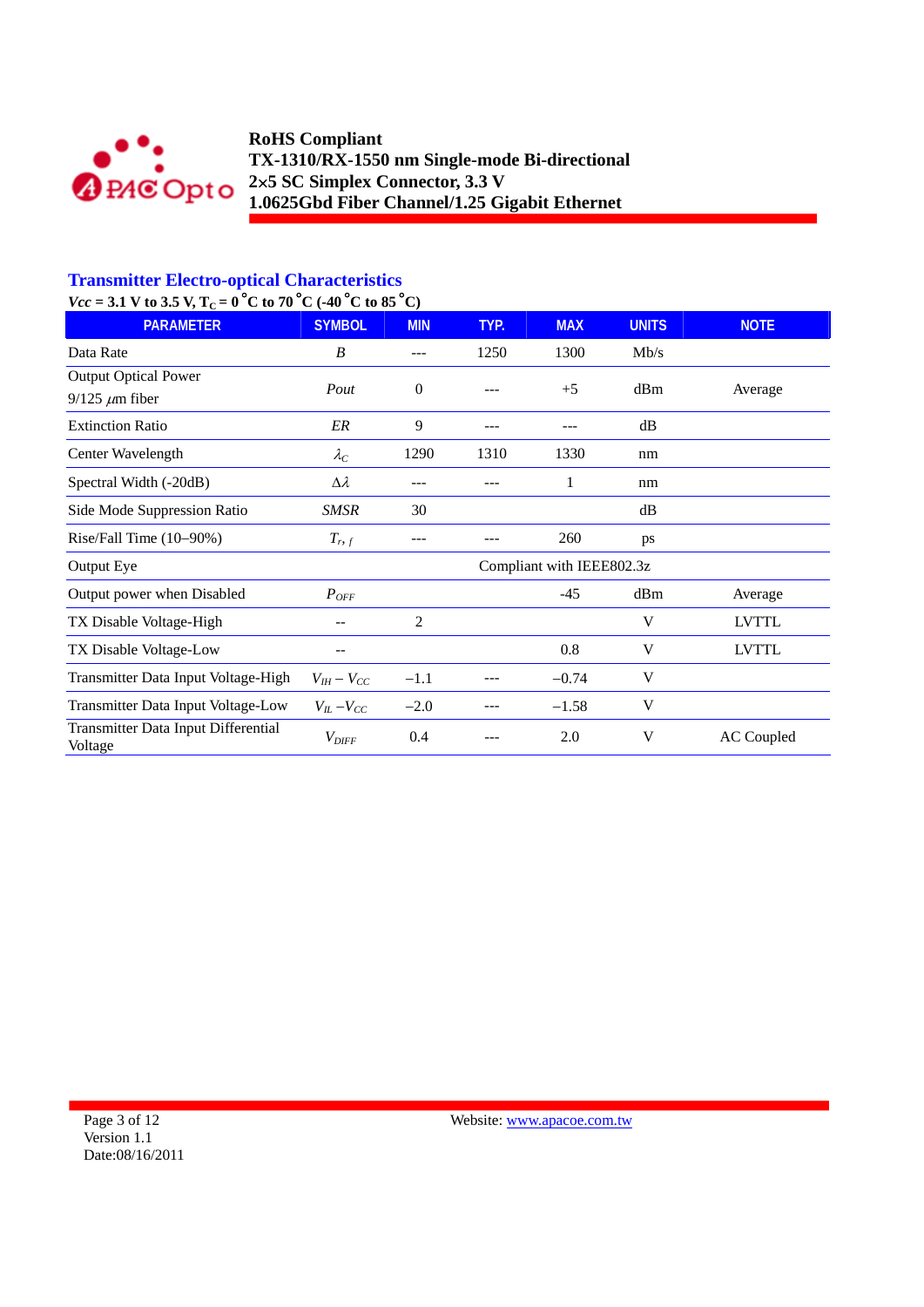

# **Transmitter Electro-optical Characteristics**

 $Vcc = 3.1$  V to 3.5 V, T<sub>C</sub> = 0<sup>°</sup>C to 70<sup>°</sup>C (-40<sup>°</sup>C to 85<sup>°</sup>C)

| <b>PARAMETER</b>                                     | <b>SYMBOL</b>       | <b>MIN</b>     | TYP. | <b>MAX</b>                | <b>UNITS</b> | <b>NOTE</b>       |
|------------------------------------------------------|---------------------|----------------|------|---------------------------|--------------|-------------------|
| Data Rate                                            | B                   |                | 1250 | 1300                      | Mb/s         |                   |
| <b>Output Optical Power</b><br>$9/125 \ \mu m$ fiber | Pout                | $\overline{0}$ |      | $+5$                      | dBm          | Average           |
| <b>Extinction Ratio</b>                              | ER                  | 9              |      |                           | dB           |                   |
| Center Wavelength                                    | $\lambda_C$         | 1290           | 1310 | 1330                      | nm           |                   |
| Spectral Width (-20dB)                               | $\Delta \lambda$    | ---            |      | 1                         | nm           |                   |
| Side Mode Suppression Ratio                          | SMSR                | 30             |      |                           | dB           |                   |
| Rise/Fall Time (10-90%)                              | $T_{r,f}$           |                |      | 260                       | ps           |                   |
| Output Eye                                           |                     |                |      | Compliant with IEEE802.3z |              |                   |
| Output power when Disabled                           | $P_{OFF}$           |                |      | $-45$                     | dBm          | Average           |
| TX Disable Voltage-High                              |                     | 2              |      |                           | V            | <b>LVTTL</b>      |
| TX Disable Voltage-Low                               |                     |                |      | 0.8                       | V            | <b>LVTTL</b>      |
| Transmitter Data Input Voltage-High                  | $V_{IH} - V_{CC}$   | $-1.1$         |      | $-0.74$                   | V            |                   |
| Transmitter Data Input Voltage-Low                   | $V_{IL}$ – $V_{CC}$ | $-2.0$         |      | $-1.58$                   | V            |                   |
| Transmitter Data Input Differential<br>Voltage       | $V_{\mathit{DIFF}}$ | 0.4            |      | 2.0                       | V            | <b>AC</b> Coupled |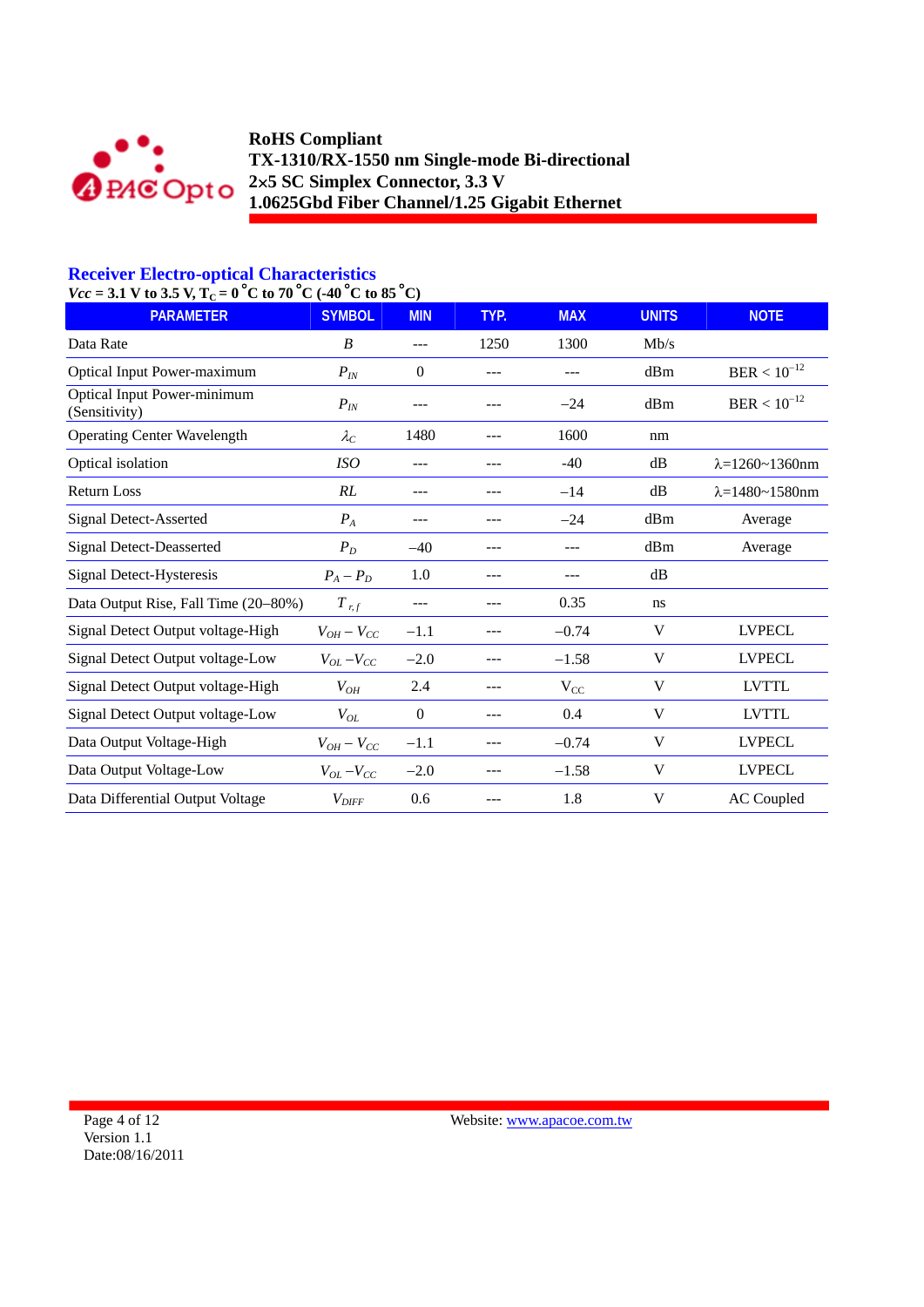

## **Receiver Electro-optical Characteristics**

| $Vcc = 3.1$ V to 3.5 V, $T_C = 0^{\circ}C$ to 70 °C (-40 °C to 85 °C) |  |
|-----------------------------------------------------------------------|--|
|                                                                       |  |

| <b>PARAMETER</b>                                    | <b>SYMBOL</b>       | <b>MIN</b> | TYP.  | <b>MAX</b> | <b>UNITS</b> | <b>NOTE</b>                |
|-----------------------------------------------------|---------------------|------------|-------|------------|--------------|----------------------------|
| Data Rate                                           | B                   | $---$      | 1250  | 1300       | Mb/s         |                            |
| <b>Optical Input Power-maximum</b>                  | $P_{IN}$            | $\theta$   | ---   | $---$      | dBm          | $BER < 10^{-12}$           |
| <b>Optical Input Power-minimum</b><br>(Sensitivity) | $P_{IN}$            | ---        |       | $-24$      | dBm          | $BER < 10^{-12}$           |
| <b>Operating Center Wavelength</b>                  | $\lambda_C$         | 1480       | ---   | 1600       | nm           |                            |
| Optical isolation                                   | <i>ISO</i>          |            |       | $-40$      | dB           | $\lambda = 1260 - 1360$ nm |
| <b>Return Loss</b>                                  | RL                  | ---        |       | $-14$      | dB           | $\lambda = 1480 - 1580$ nm |
| <b>Signal Detect-Asserted</b>                       | ${\cal P}_A$        | ---        | ---   | $-24$      | dBm          | Average                    |
| <b>Signal Detect-Deasserted</b>                     | $P_D$               | $-40$      | ---   | $---$      | dBm          | Average                    |
| Signal Detect-Hysteresis                            | $P_A - P_D$         | 1.0        | $---$ | ---        | dB           |                            |
| Data Output Rise, Fall Time (20–80%)                | $T$ r, f            | ---        | $---$ | 0.35       | ns           |                            |
| Signal Detect Output voltage-High                   | $V_{OH}-V_{CC}$     | $-1.1$     | $---$ | $-0.74$    | V            | <b>LVPECL</b>              |
| Signal Detect Output voltage-Low                    | $V_{OL}$ – $V_{CC}$ | $-2.0$     | ---   | $-1.58$    | V            | <b>LVPECL</b>              |
| Signal Detect Output voltage-High                   | $V_{OH}$            | 2.4        | ---   | $V_{CC}$   | V            | <b>LVTTL</b>               |
| Signal Detect Output voltage-Low                    | $V_{OL}$            | $\theta$   |       | 0.4        | V            | <b>LVTTL</b>               |
| Data Output Voltage-High                            | $V_{OH}-V_{CC}$     | $-1.1$     |       | $-0.74$    | V            | <b>LVPECL</b>              |
| Data Output Voltage-Low                             | $V_{OL}$ – $V_{CC}$ | $-2.0$     | ---   | $-1.58$    | V            | <b>LVPECL</b>              |
| Data Differential Output Voltage                    | $V_{\text{DIFF}}$   | 0.6        |       | 1.8        | V            | <b>AC</b> Coupled          |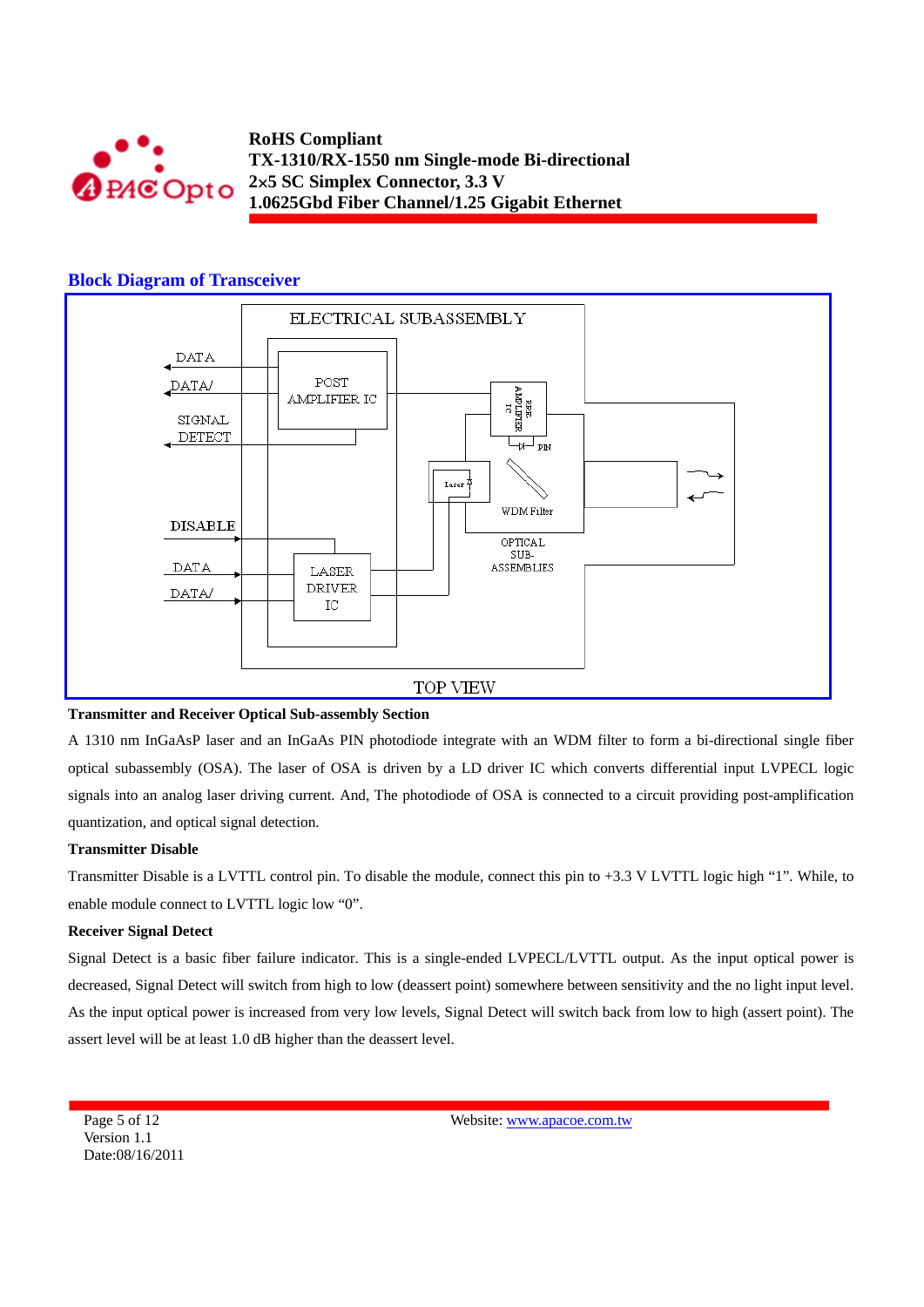

#### **Block Diagram of Transceiver**



#### **Transmitter and Receiver Optical Sub-assembly Section**

A 1310 nm InGaAsP laser and an InGaAs PIN photodiode integrate with an WDM filter to form a bi-directional single fiber optical subassembly (OSA). The laser of OSA is driven by a LD driver IC which converts differential input LVPECL logic signals into an analog laser driving current. And, The photodiode of OSA is connected to a circuit providing post-amplification quantization, and optical signal detection.

#### **Transmitter Disable**

Transmitter Disable is a LVTTL control pin. To disable the module, connect this pin to +3.3 V LVTTL logic high "1". While, to enable module connect to LVTTL logic low "0".

#### **Receiver Signal Detect**

Signal Detect is a basic fiber failure indicator. This is a single-ended LVPECL/LVTTL output. As the input optical power is decreased, Signal Detect will switch from high to low (deassert point) somewhere between sensitivity and the no light input level. As the input optical power is increased from very low levels, Signal Detect will switch back from low to high (assert point). The assert level will be at least 1.0 dB higher than the deassert level.

Page 5 of 12 Version 1.1 Date:08/16/2011 Website: www.apacoe.com.tw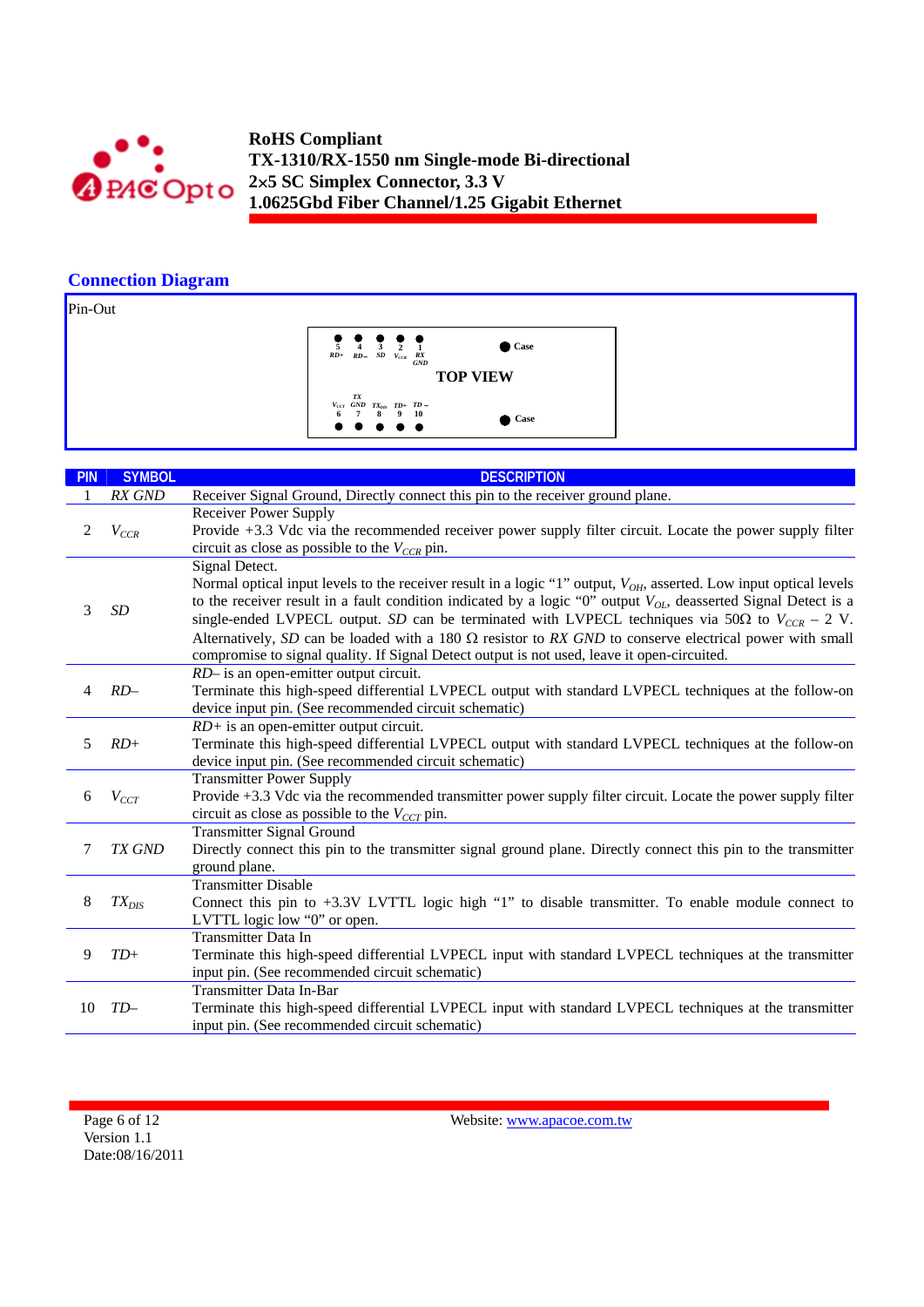

## **Connection Diagram**

Pin-Out

**TOP VIEW 1 Case** *RX GND*  $\frac{5}{RD}$  **4**  $\frac{3}{SD}$  **2**<br>*RD*+ *RD SD V<sub>CCR</sub> TD+*  **9** *TXDIS* **8**  $V_{ccT}$  *GND*  $TX_{DIS}$  *TD*+ *TD* − **6** *T* 8 9 10 **<sup>10</sup> Case**

| <b>PIN</b> | <b>SYMBOL</b>                                         | <b>DESCRIPTION</b>                                                                                                             |
|------------|-------------------------------------------------------|--------------------------------------------------------------------------------------------------------------------------------|
| 1          | RX GND                                                | Receiver Signal Ground, Directly connect this pin to the receiver ground plane.                                                |
|            | <b>Receiver Power Supply</b>                          |                                                                                                                                |
| 2          | $V_{CCR}$                                             | Provide +3.3 Vdc via the recommended receiver power supply filter circuit. Locate the power supply filter                      |
|            |                                                       | circuit as close as possible to the $V_{CCR}$ pin.                                                                             |
|            |                                                       | Signal Detect.                                                                                                                 |
|            |                                                       | Normal optical input levels to the receiver result in a logic "1" output, V <sub>OH</sub> , asserted. Low input optical levels |
| 3          | SD                                                    | to the receiver result in a fault condition indicated by a logic "0" output $V_{OL}$ , deasserted Signal Detect is a           |
|            |                                                       | single-ended LVPECL output. SD can be terminated with LVPECL techniques via 50 $\Omega$ to $V_{CCR}$ – 2 V.                    |
|            |                                                       | Alternatively, SD can be loaded with a 180 $\Omega$ resistor to RX GND to conserve electrical power with small                 |
|            |                                                       | compromise to signal quality. If Signal Detect output is not used, leave it open-circuited.                                    |
|            |                                                       | RD- is an open-emitter output circuit.                                                                                         |
| 4          | $RD-$                                                 | Terminate this high-speed differential LVPECL output with standard LVPECL techniques at the follow-on                          |
|            | device input pin. (See recommended circuit schematic) |                                                                                                                                |
|            |                                                       | $RD$ + is an open-emitter output circuit.                                                                                      |
| 5          | $RD+$                                                 | Terminate this high-speed differential LVPECL output with standard LVPECL techniques at the follow-on                          |
|            |                                                       | device input pin. (See recommended circuit schematic)<br><b>Transmitter Power Supply</b>                                       |
| 6          | $V_{CCT}$                                             | Provide +3.3 Vdc via the recommended transmitter power supply filter circuit. Locate the power supply filter                   |
|            |                                                       | circuit as close as possible to the $V_{CCT}$ pin.                                                                             |
|            |                                                       | <b>Transmitter Signal Ground</b>                                                                                               |
| 7          | TX GND                                                | Directly connect this pin to the transmitter signal ground plane. Directly connect this pin to the transmitter                 |
|            |                                                       | ground plane.                                                                                                                  |
|            |                                                       | <b>Transmitter Disable</b>                                                                                                     |
| 8          | $TX_{DIS}$                                            | Connect this pin to $+3.3V$ LVTTL logic high "1" to disable transmitter. To enable module connect to                           |
|            |                                                       | LVTTL logic low "0" or open.                                                                                                   |
|            |                                                       | <b>Transmitter Data In</b>                                                                                                     |
| 9          | $TD+$                                                 | Terminate this high-speed differential LVPECL input with standard LVPECL techniques at the transmitter                         |
|            |                                                       | input pin. (See recommended circuit schematic)                                                                                 |
|            |                                                       | Transmitter Data In-Bar                                                                                                        |
| 10         | $TD-$                                                 | Terminate this high-speed differential LVPECL input with standard LVPECL techniques at the transmitter                         |
|            | input pin. (See recommended circuit schematic)        |                                                                                                                                |

Page 6 of 12 Version 1.1 Date:08/16/2011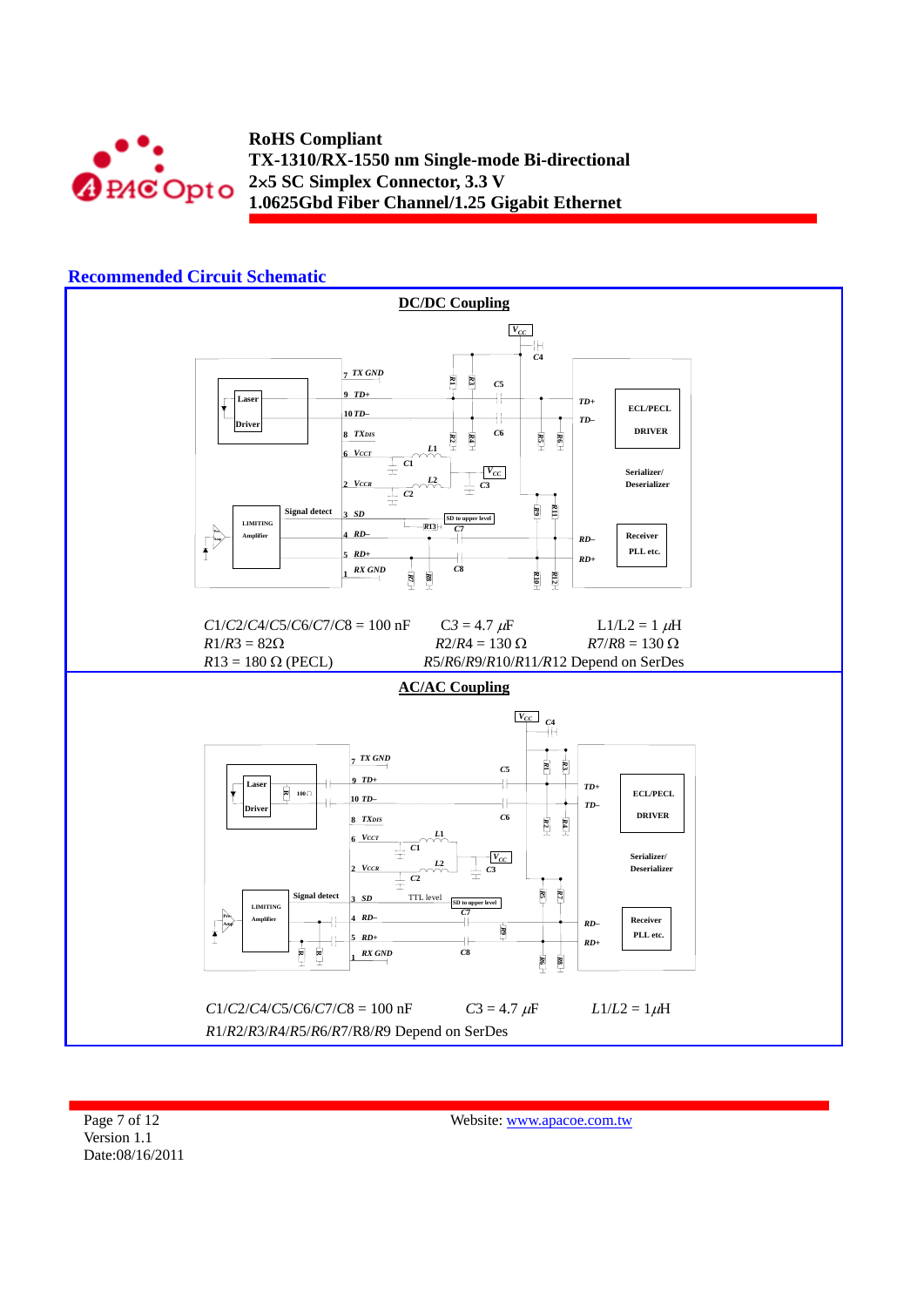



Page 7 of 12 Version 1.1 Date:08/16/2011

Website: www.apacoe.com.tw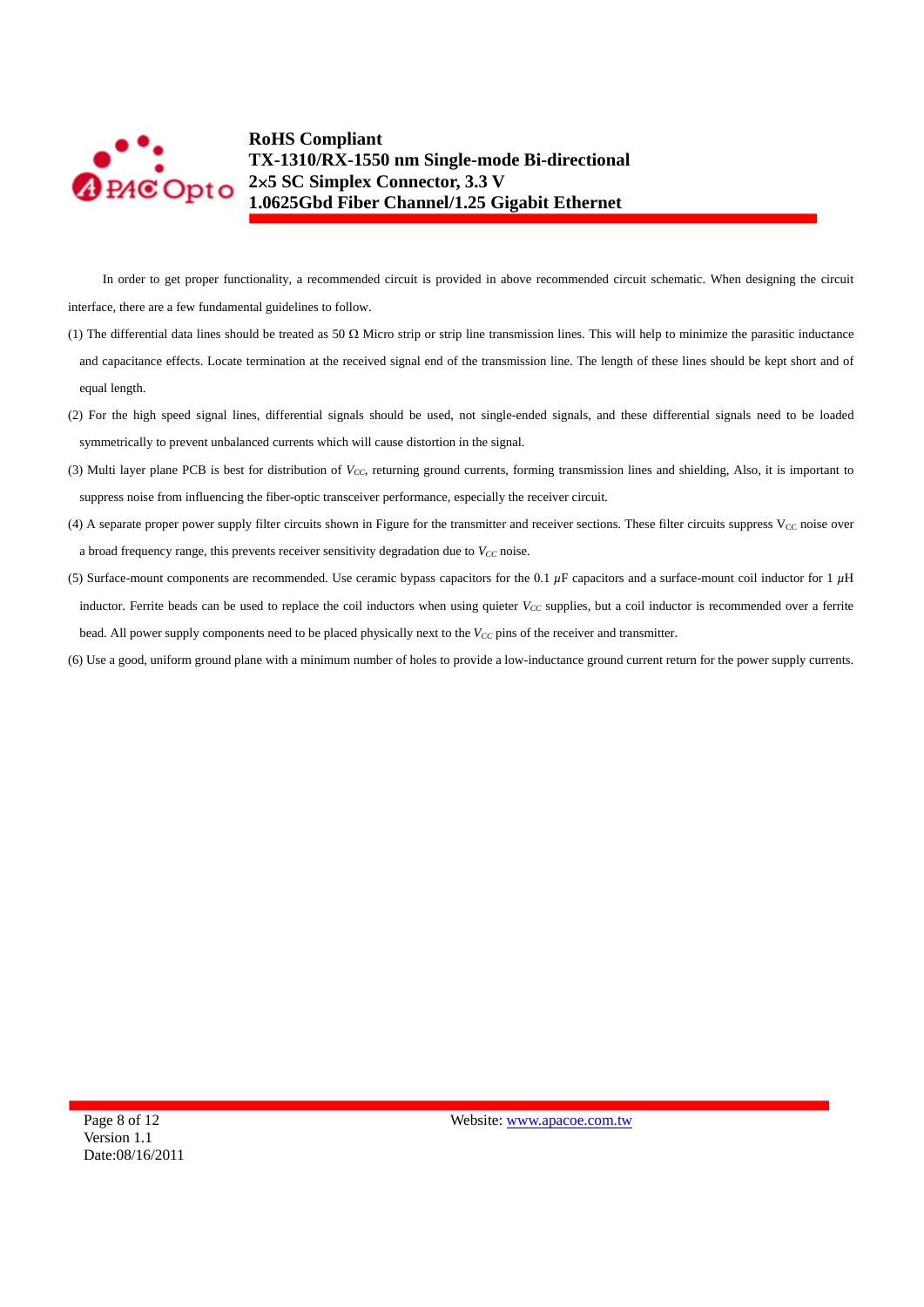

In order to get proper functionality, a recommended circuit is provided in above recommended circuit schematic. When designing the circuit interface, there are a few fundamental guidelines to follow.

- (1) The differential data lines should be treated as 50  $\Omega$  Micro strip or strip line transmission lines. This will help to minimize the parasitic inductance and capacitance effects. Locate termination at the received signal end of the transmission line. The length of these lines should be kept short and of equal length.
- (2) For the high speed signal lines, differential signals should be used, not single-ended signals, and these differential signals need to be loaded symmetrically to prevent unbalanced currents which will cause distortion in the signal.
- (3) Multi layer plane PCB is best for distribution of *V<sub>CC</sub>*, returning ground currents, forming transmission lines and shielding, Also, it is important to suppress noise from influencing the fiber-optic transceiver performance, especially the receiver circuit.
- (4) A separate proper power supply filter circuits shown in Figure for the transmitter and receiver sections. These filter circuits suppress  $V_{CC}$  noise over a broad frequency range, this prevents receiver sensitivity degradation due to  $V_{CC}$  noise.
- (5) Surface-mount components are recommended. Use ceramic bypass capacitors for the 0.1 *µ*F capacitors and a surface-mount coil inductor for 1 *µ*H inductor. Ferrite beads can be used to replace the coil inductors when using quieter  $V_{CC}$  supplies, but a coil inductor is recommended over a ferrite bead. All power supply components need to be placed physically next to the  $V_{CC}$  pins of the receiver and transmitter.
- (6) Use a good, uniform ground plane with a minimum number of holes to provide a low-inductance ground current return for the power supply currents.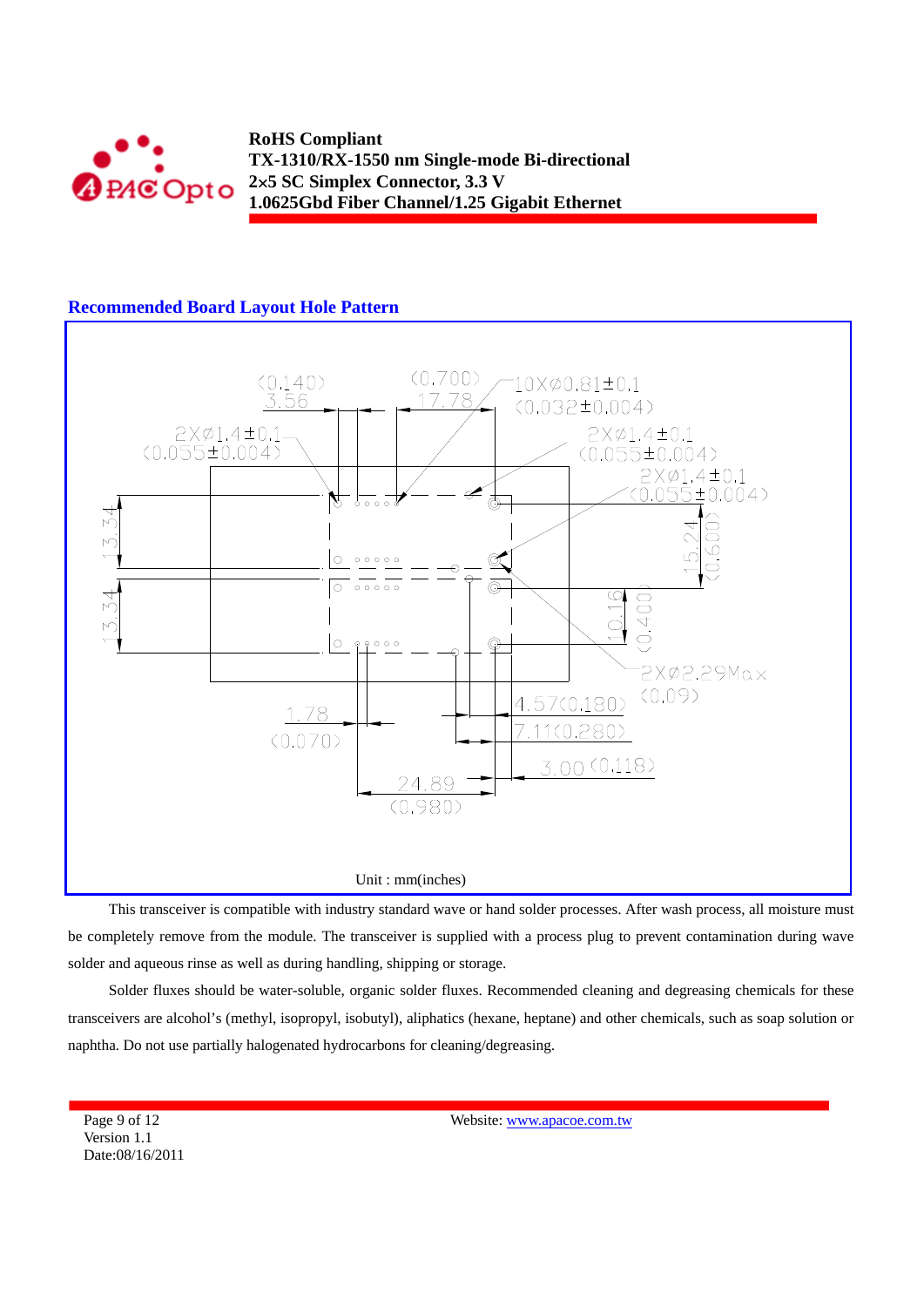

## **Recommended Board Layout Hole Pattern**



This transceiver is compatible with industry standard wave or hand solder processes. After wash process, all moisture must be completely remove from the module. The transceiver is supplied with a process plug to prevent contamination during wave solder and aqueous rinse as well as during handling, shipping or storage.

Solder fluxes should be water-soluble, organic solder fluxes. Recommended cleaning and degreasing chemicals for these transceivers are alcohol's (methyl, isopropyl, isobutyl), aliphatics (hexane, heptane) and other chemicals, such as soap solution or naphtha. Do not use partially halogenated hydrocarbons for cleaning/degreasing.

Page 9 of 12 Version 1.1 Date:08/16/2011 Website: www.apacoe.com.tw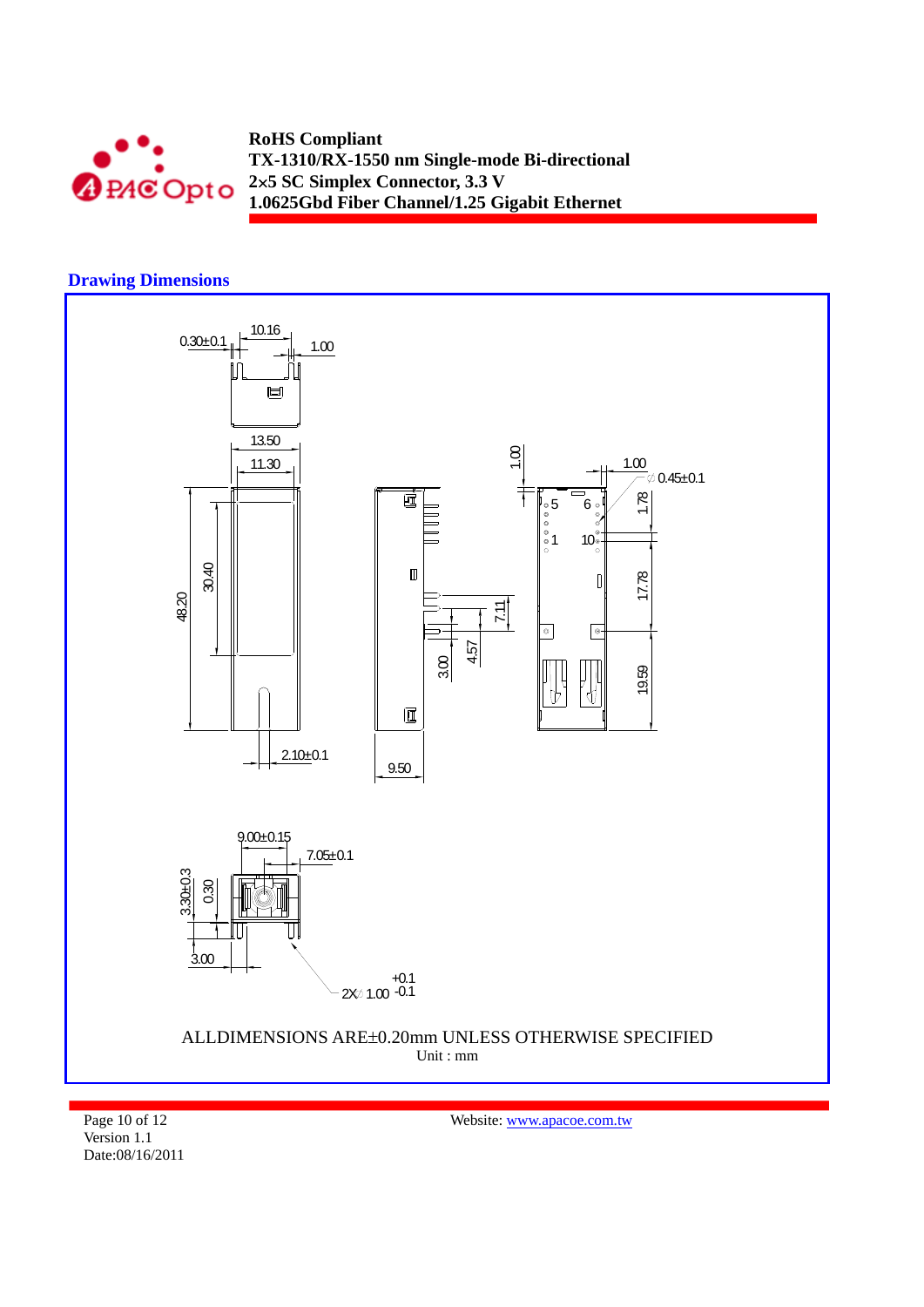

## **Drawing Dimensions**



Page 10 of 12

Website: www.apacoe.com.tw

Version 1.1 Date:08/16/2011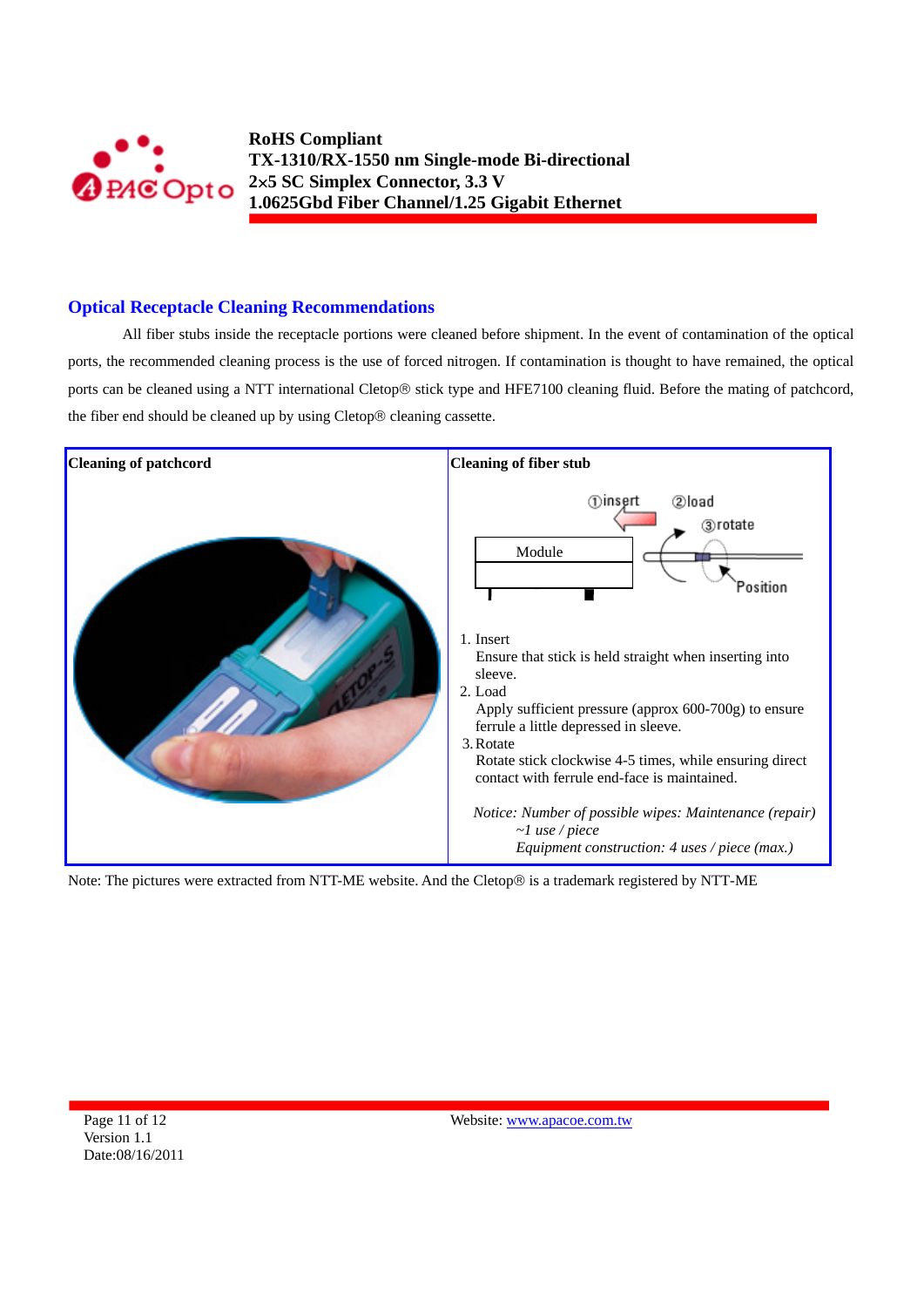

## **Optical Receptacle Cleaning Recommendations**

All fiber stubs inside the receptacle portions were cleaned before shipment. In the event of contamination of the optical ports, the recommended cleaning process is the use of forced nitrogen. If contamination is thought to have remained, the optical ports can be cleaned using a NTT international Cletop® stick type and HFE7100 cleaning fluid. Before the mating of patchcord, the fiber end should be cleaned up by using Cletop® cleaning cassette.



Note: The pictures were extracted from NTT-ME website. And the Cletop® is a trademark registered by NTT-ME